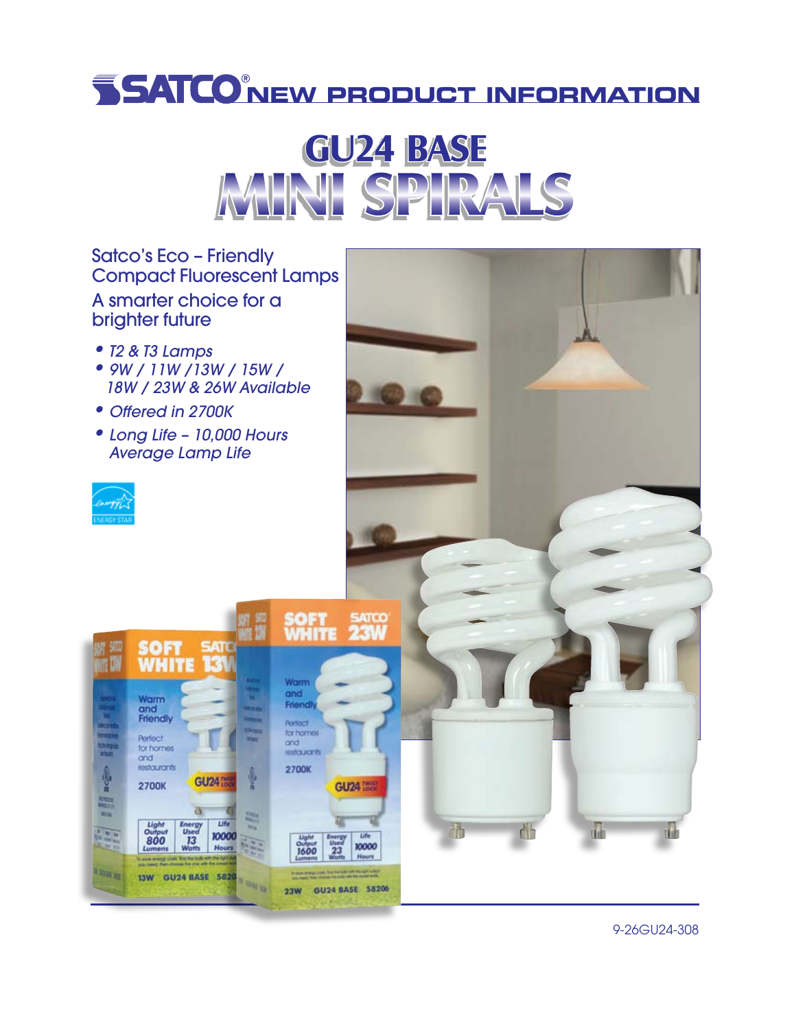## **NEW PRODUCT INFORMATION**



Satco's Eco – Friendly Compact Fluorescent Lamps A smarter choice for a

• *T2 & T3 Lamps*

brighter future

- • *9W / 11W /13W / 15W / 18W / 23W & 26W Available*
- • *Offered in 2700K*
- • *Long Life 10,000 Hours Average Lamp Life*

SOFT SATO<br>WHITE 13V

ş

23W GU24 BASE 58206

**GU24** 75

Life

10000

Hours

ä

13W GU24 BASE 5820

**Energy**<br>Used

 $13$ 

Warm and<br>Friendly

Perfect

and restaurants

for homes

2700K

 $\frac{\text{Light}}{\text{Output}}$ 



**111 - 11** 

厚

**FRIDE** 



9-26GU24-308